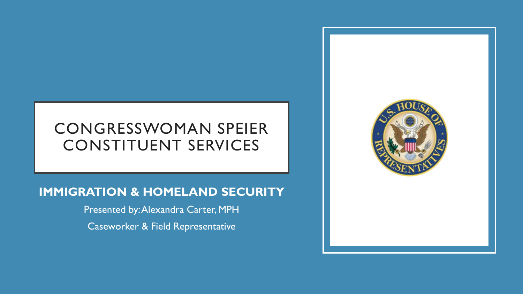# CONGRESSWOMAN SPEIER CONSTITUENT SERVICES

#### **IMMIGRATION & HOMELAND SECURITY**

Presented by: Alexandra Carter, MPH Caseworker & Field Representative

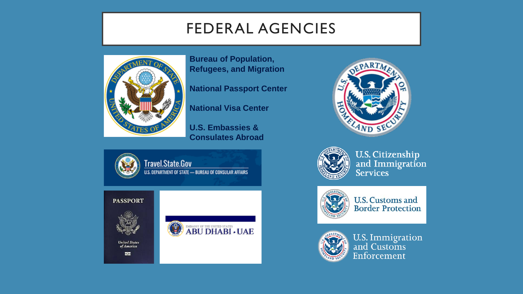### FEDERAL AGENCIES



**Bureau of Population, Refugees, and Migration**

**National Passport Center**

**National Visa Center**

**U.S. Embassies & Consulates Abroad**



**United States**<br>of America

50

**PASSPORT** 







**U.S. Citizenship** and Immigration<br>Services



**U.S. Customs and Border Protection** 



U.S. Immigration<br>and Customs Enforcement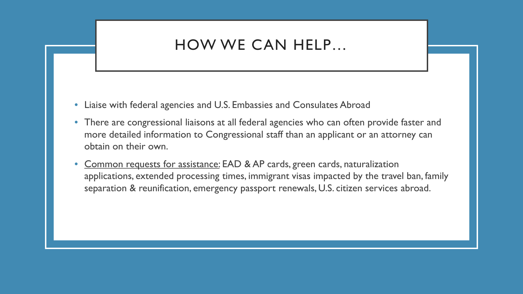#### HOW WE CAN HELP…

- Liaise with federal agencies and U.S. Embassies and Consulates Abroad
- There are congressional liaisons at all federal agencies who can often provide faster and more detailed information to Congressional staff than an applicant or an attorney can obtain on their own.
- Common requests for assistance: EAD & AP cards, green cards, naturalization applications, extended processing times, immigrant visas impacted by the travel ban, family separation & reunification, emergency passport renewals, U.S. citizen services abroad.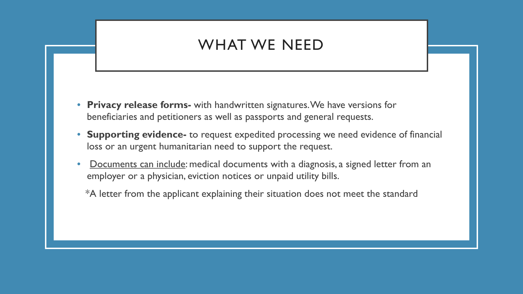#### WHAT WE NEED

- **Privacy release forms-** with handwritten signatures. We have versions for beneficiaries and petitioners as well as passports and general requests.
- **Supporting evidence-** to request expedited processing we need evidence of financial loss or an urgent humanitarian need to support the request.
- Documents can include: medical documents with a diagnosis, a signed letter from an employer or a physician, eviction notices or unpaid utility bills.
	- \*A letter from the applicant explaining their situation does not meet the standard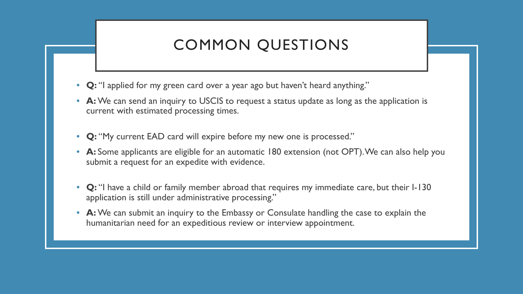# COMMON QUESTIONS

- **Q:** "I applied for my green card over a year ago but haven't heard anything."
- **A:** We can send an inquiry to USCIS to request a status update as long as the application is current with estimated processing times.
- **Q:** "My current EAD card will expire before my new one is processed."
- **A:** Some applicants are eligible for an automatic 180 extension (not OPT). We can also help you submit a request for an expedite with evidence.
- **Q:** "I have a child or family member abroad that requires my immediate care, but their I-130 application is still under administrative processing."
- **A:** We can submit an inquiry to the Embassy or Consulate handling the case to explain the humanitarian need for an expeditious review or interview appointment.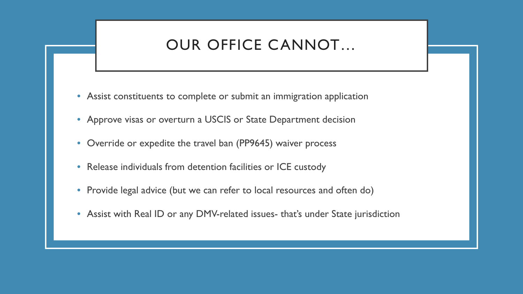#### OUR OFFICE CANNOT…

- Assist constituents to complete or submit an immigration application
- Approve visas or overturn a USCIS or State Department decision
- Override or expedite the travel ban (PP9645) waiver process
- Release individuals from detention facilities or ICE custody
- Provide legal advice (but we can refer to local resources and often do)
- Assist with Real ID or any DMV-related issues- that's under State jurisdiction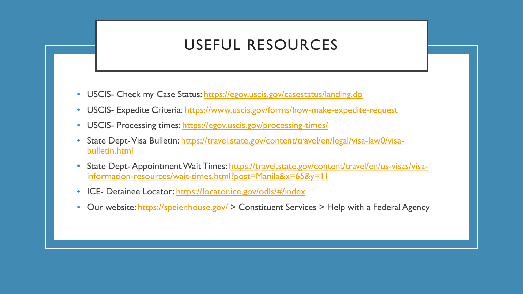### USEFUL RESOURCES

- USCIS- Check my Case Status:<https://egov.uscis.gov/casestatus/landing.do>
- USCIS- Expedite Criteria: <https://www.uscis.gov/forms/how-make-expedite-request>
- USCIS- Processing times: <https://egov.uscis.gov/processing-times/>
- [State Dept-Visa Bulletin: https://travel.state.gov/content/travel/en/legal/visa-law0/visa](https://travel.state.gov/content/travel/en/legal/visa-law0/visa-bulletin.html)bulletin.html
- State Dept- [Appointment Wait Times: https://travel.state.gov/content/travel/en/us-visas/visa](https://travel.state.gov/content/travel/en/us-visas/visa-information-resources/wait-times.html?post=Manila&x=65&y=11)information-resources/wait-times.html?post=Manila&x=65&y=11
- ICE- Detainee Locator:<https://locator.ice.gov/odls/#/index>
- Our website: <https://speier.house.gov/> > Constituent Services > Help with a Federal Agency